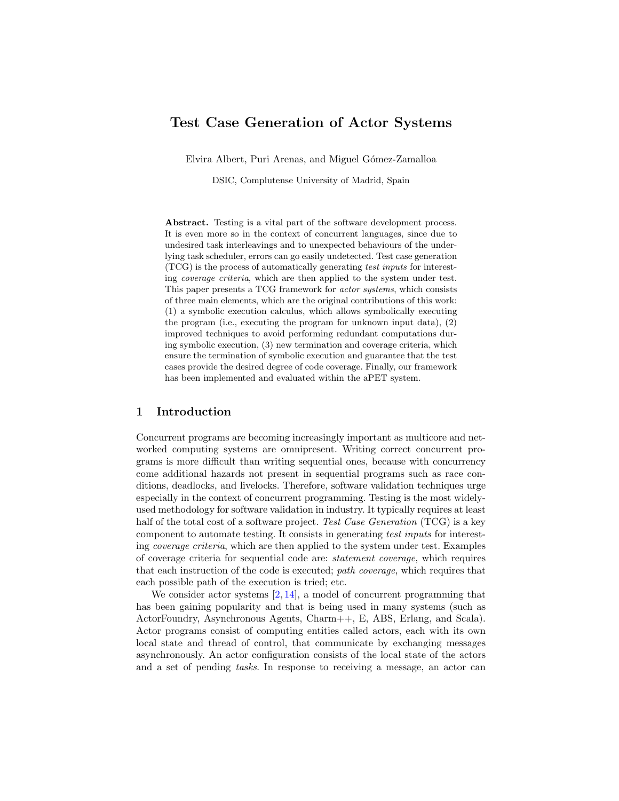# Test Case Generation of Actor Systems

Elvira Albert, Puri Arenas, and Miguel Gómez-Zamalloa

DSIC, Complutense University of Madrid, Spain

Abstract. Testing is a vital part of the software development process. It is even more so in the context of concurrent languages, since due to undesired task interleavings and to unexpected behaviours of the underlying task scheduler, errors can go easily undetected. Test case generation (TCG) is the process of automatically generating test inputs for interesting coverage criteria, which are then applied to the system under test. This paper presents a TCG framework for actor systems, which consists of three main elements, which are the original contributions of this work: (1) a symbolic execution calculus, which allows symbolically executing the program (i.e., executing the program for unknown input data), (2) improved techniques to avoid performing redundant computations during symbolic execution, (3) new termination and coverage criteria, which ensure the termination of symbolic execution and guarantee that the test cases provide the desired degree of code coverage. Finally, our framework has been implemented and evaluated within the aPET system.

# 1 Introduction

Concurrent programs are becoming increasingly important as multicore and networked computing systems are omnipresent. Writing correct concurrent programs is more difficult than writing sequential ones, because with concurrency come additional hazards not present in sequential programs such as race conditions, deadlocks, and livelocks. Therefore, software validation techniques urge especially in the context of concurrent programming. Testing is the most widelyused methodology for software validation in industry. It typically requires at least half of the total cost of a software project. Test Case Generation (TCG) is a key component to automate testing. It consists in generating test inputs for interesting coverage criteria, which are then applied to the system under test. Examples of coverage criteria for sequential code are: statement coverage, which requires that each instruction of the code is executed; path coverage, which requires that each possible path of the execution is tried; etc.

We consider actor systems  $[2, 14]$  $[2, 14]$  $[2, 14]$ , a model of concurrent programming that has been gaining popularity and that is being used in many systems (such as ActorFoundry, Asynchronous Agents, Charm++, E, ABS, Erlang, and Scala). Actor programs consist of computing entities called actors, each with its own local state and thread of control, that communicate by exchanging messages asynchronously. An actor configuration consists of the local state of the actors and a set of pending tasks. In response to receiving a message, an actor can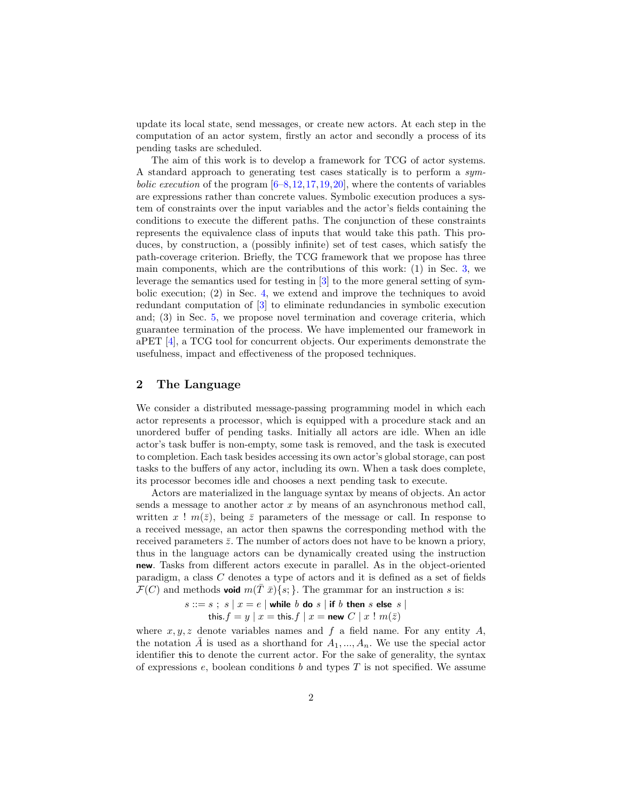update its local state, send messages, or create new actors. At each step in the computation of an actor system, firstly an actor and secondly a process of its pending tasks are scheduled.

The aim of this work is to develop a framework for TCG of actor systems. A standard approach to generating test cases statically is to perform a symbolic execution of the program  $[6–8, 12, 17, 19, 20]$  $[6–8, 12, 17, 19, 20]$  $[6–8, 12, 17, 19, 20]$  $[6–8, 12, 17, 19, 20]$  $[6–8, 12, 17, 19, 20]$  $[6–8, 12, 17, 19, 20]$  $[6–8, 12, 17, 19, 20]$  $[6–8, 12, 17, 19, 20]$  $[6–8, 12, 17, 19, 20]$  $[6–8, 12, 17, 19, 20]$ , where the contents of variables are expressions rather than concrete values. Symbolic execution produces a system of constraints over the input variables and the actor's fields containing the conditions to execute the different paths. The conjunction of these constraints represents the equivalence class of inputs that would take this path. This produces, by construction, a (possibly infinite) set of test cases, which satisfy the path-coverage criterion. Briefly, the TCG framework that we propose has three main components, which are the contributions of this work:  $(1)$  in Sec. [3,](#page-4-0) we leverage the semantics used for testing in [\[3\]](#page-15-8) to the more general setting of symbolic execution; (2) in Sec. [4,](#page-8-0) we extend and improve the techniques to avoid redundant computation of [\[3\]](#page-15-8) to eliminate redundancies in symbolic execution and; (3) in Sec. [5,](#page-9-0) we propose novel termination and coverage criteria, which guarantee termination of the process. We have implemented our framework in aPET [\[4\]](#page-15-9), a TCG tool for concurrent objects. Our experiments demonstrate the usefulness, impact and effectiveness of the proposed techniques.

### 2 The Language

We consider a distributed message-passing programming model in which each actor represents a processor, which is equipped with a procedure stack and an unordered buffer of pending tasks. Initially all actors are idle. When an idle actor's task buffer is non-empty, some task is removed, and the task is executed to completion. Each task besides accessing its own actor's global storage, can post tasks to the buffers of any actor, including its own. When a task does complete, its processor becomes idle and chooses a next pending task to execute.

Actors are materialized in the language syntax by means of objects. An actor sends a message to another actor  $x$  by means of an asynchronous method call, written x !  $m(\bar{z})$ , being  $\bar{z}$  parameters of the message or call. In response to a received message, an actor then spawns the corresponding method with the received parameters  $\bar{z}$ . The number of actors does not have to be known a priory, thus in the language actors can be dynamically created using the instruction new. Tasks from different actors execute in parallel. As in the object-oriented paradigm, a class C denotes a type of actors and it is defined as a set of fields  $\mathcal{F}(C)$  and methods **void**  $m(\overline{T}\ \overline{x})\{s;\}$ . The grammar for an instruction s is:

> $s ::= s ; s | x = e |$  while b do s | if b then s else s | this.  $f = y \mid x =$  this.  $f \mid x =$  new  $C \mid x \mid m(\bar{z})$

where  $x, y, z$  denote variables names and f a field name. For any entity A, the notation A is used as a shorthand for  $A_1, ..., A_n$ . We use the special actor identifier this to denote the current actor. For the sake of generality, the syntax of expressions  $e$ , boolean conditions  $b$  and types  $T$  is not specified. We assume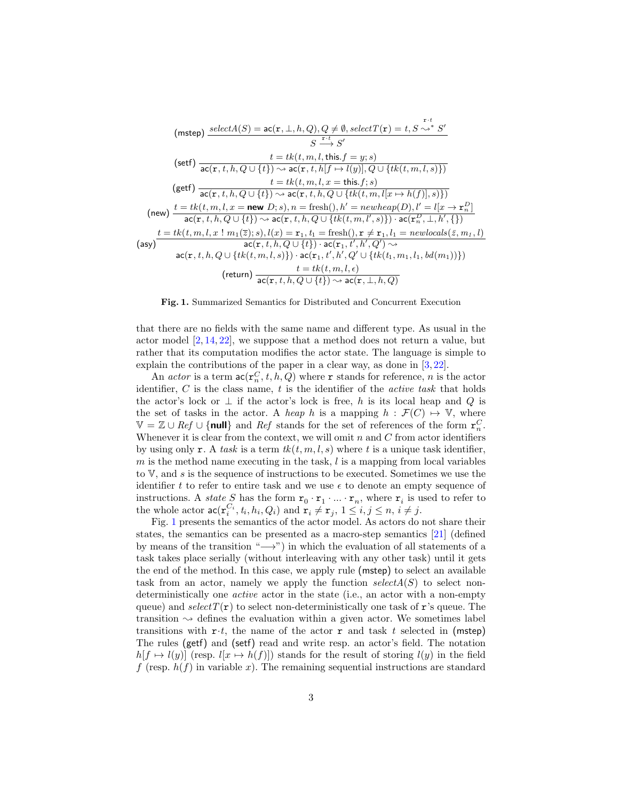$$
\begin{array}{c} \text{(mstep)} \ \frac{selectA(S) = \mathsf{ac}(\mathbf{r}, \perp, h, Q), Q \neq \emptyset, selectT(\mathbf{r}) = t, S \rightsquigarrow^* S' \\ S \xrightarrow{r \cdot t} S' \\ \text{(setf)} \ \frac{t = tk(t, m, l, \text{this}.f = y; s)}{\mathsf{ac}(\mathbf{r}, t, h, Q \cup \{t\}) \rightsquigarrow \mathsf{ac}(\mathbf{r}, t, h[f \mapsto l(y)], Q \cup \{tk(t, m, l, s)\})} \\ \text{(getf)} \ \frac{t = tk(t, m, l, x = \text{this}.f; s)}{\mathsf{ac}(\mathbf{r}, t, h, Q \cup \{t\}) \rightsquigarrow \mathsf{ac}(\mathbf{r}, t, h, Q \cup \{tk(t, m, l[x \mapsto h(f)], s)\})} \\ \text{(new)} \ \frac{t = tk(t, m, l, x = \text{new } D; s), n = \text{fresh}(), h' = newheap(D), l' = l[x \rightarrow \mathbf{r}_n^D]}{\mathsf{ac}(\mathbf{r}, t, h, Q \cup \{t\}) \rightsquigarrow \mathsf{ac}(\mathbf{r}, t, h, Q \cup \{tk(t, m, l', s)\}) \cdot \mathsf{ac}(\mathbf{r}_n^D, \perp, h', \{ \})} \\ \text{(asy)} \ \frac{t = tk(t, m, l, x \perp m_1(\overline{z}); s), l(x) = \mathbf{r}_1, t_1 = \text{fresh}(), \mathbf{r} \neq \mathbf{r}_1, l_1 = newlocals(\overline{z}, m_1, l)}{\mathsf{ac}(\mathbf{r}, t, h, Q \cup \{tk(t, m, l, s)\}) \cdot \mathsf{ac}(\mathbf{r}_1, t', h', Q') \rightsquigarrow} \\ \text{ac}(\mathbf{r}, t, h, Q \cup \{tk(t, m, l, s)\}) \cdot \mathsf{ac}(\mathbf{r}_1, t', h', Q' \cup \{tk(t, m, l, l, b d(m_1))\}) \\ \text{(return)} \ \frac{t = tk(t, m, l, \epsilon)}{\mathsf{ac}(\mathbf{r}, t, h, Q \cup \{t\}) \rightsquigarrow \mathsf{ac}(\mathbf{r}, t, h, Q) \cdot \mathsf{ac}(\mathbf{r}, t, h, Q) \cdot \mathsf{ac}(\mathbf{r},
$$

<span id="page-2-0"></span>Fig. 1. Summarized Semantics for Distributed and Concurrent Execution

that there are no fields with the same name and different type. As usual in the actor model [\[2,](#page-15-0) [14,](#page-15-1) [22\]](#page-15-10), we suppose that a method does not return a value, but rather that its computation modifies the actor state. The language is simple to explain the contributions of the paper in a clear way, as done in [\[3,](#page-15-8) [22\]](#page-15-10).

An *actor* is a term  $\mathsf{ac}(\mathbf{r}_n^C, t, h, Q)$  where **r** stands for reference, *n* is the actor identifier,  $C$  is the class name,  $t$  is the identifier of the *active task* that holds the actor's lock or  $\perp$  if the actor's lock is free, h is its local heap and Q is the set of tasks in the actor. A heap h is a mapping  $h : \mathcal{F}(C) \rightarrow \mathbb{V}$ , where  $\mathbb{V} = \mathbb{Z} \cup \text{Ref} \cup \{\text{null}\}\$ and  $\text{Ref}$  stands for the set of references of the form  $\mathbf{r}_n^C$ . Whenever it is clear from the context, we will omit  $n$  and  $C$  from actor identifiers by using only r. A task is a term  $tk(t, m, l, s)$  where t is a unique task identifier, m is the method name executing in the task,  $l$  is a mapping from local variables to V, and s is the sequence of instructions to be executed. Sometimes we use the identifier t to refer to entire task and we use  $\epsilon$  to denote an empty sequence of instructions. A *state*  $S$  has the form  $\mathbf{r}_0 \cdot \mathbf{r}_1 \cdot ... \cdot \mathbf{r}_n$ , where  $\mathbf{r}_i$  is used to refer to the whole actor  $\mathsf{ac}(\mathbf{r}_i^{C_i}, t_i, h_i, Q_i)$  and  $\mathbf{r}_i \neq \mathbf{r}_j$ ,  $1 \leq i, j \leq n$ ,  $i \neq j$ .

Fig. [1](#page-2-0) presents the semantics of the actor model. As actors do not share their states, the semantics can be presented as a macro-step semantics [\[21\]](#page-15-11) (defined by means of the transition " $\rightarrow$ ") in which the evaluation of all statements of a task takes place serially (without interleaving with any other task) until it gets the end of the method. In this case, we apply rule (mstep) to select an available task from an actor, namely we apply the function  $selectA(S)$  to select nondeterministically one active actor in the state (i.e., an actor with a non-empty queue) and  $selectT(\mathbf{r})$  to select non-deterministically one task of  $\mathbf{r}$ 's queue. The transition  $\sim$  defines the evaluation within a given actor. We sometimes label transitions with  $\mathbf{r} \cdot t$ , the name of the actor  $\mathbf{r}$  and task t selected in (mstep) The rules (getf) and (setf) read and write resp. an actor's field. The notation  $h[f \mapsto l(y)]$  (resp.  $l[x \mapsto h(f)]$ ) stands for the result of storing  $l(y)$  in the field f (resp.  $h(f)$  in variable x). The remaining sequential instructions are standard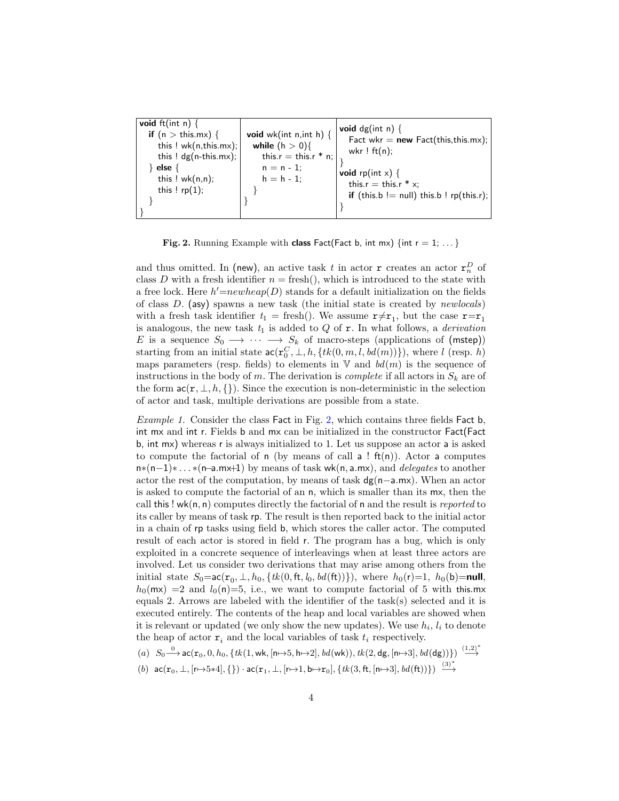| void $ft(int n)$ {<br>if $(n > \text{this}.\text{mx})$ {                 | void wk(int n,int h) $\{$                                  | <b>void</b> dg(int n) {<br>Fact wkr = $new$ Fact(this, this.mx);                                 |
|--------------------------------------------------------------------------|------------------------------------------------------------|--------------------------------------------------------------------------------------------------|
| this $!$ wk(n, this $mx$ );<br>this $!$ dg(n-this.mx);<br>$\}$ else $\{$ | while $(h > 0)$<br>this.r = this.r $*$ n;<br>$n = n - 1$ ; | wkr ! $ft(n)$ ;                                                                                  |
| this $!$ wk( $n,n$ );<br>this $!$ rp(1);                                 | $h = h - 1$ ;                                              | <b>void</b> rp(int x) {<br>this.r = this.r $* x$ ;<br>if (this.b != null) this.b ! $rp(this.r);$ |
|                                                                          |                                                            |                                                                                                  |

<span id="page-3-0"></span>Fig. 2. Running Example with class Fact(Fact b, int mx) {int  $r = 1; ...$ }

and thus omitted. In (new), an active task t in actor  $\mathbf{r}$  creates an actor  $\mathbf{r}_n^D$  of class D with a fresh identifier  $n = \text{fresh}()$ , which is introduced to the state with a free lock. Here  $h'$ =newheap(D) stands for a default initialization on the fields of class D. (asy) spawns a new task (the initial state is created by newlocals) with a fresh task identifier  $t_1 = \text{fresh}()$ . We assume  $\mathbf{r} \neq \mathbf{r}_1$ , but the case  $\mathbf{r} = \mathbf{r}_1$ is analogous, the new task  $t_1$  is added to  $Q$  of  $r$ . In what follows, a *derivation* E is a sequence  $S_0 \longrightarrow \cdots \longrightarrow S_k$  of macro-steps (applications of (mstep)) starting from an initial state  $\mathsf{ac}(\mathbf{r}_0^C, \perp, h, \{tk(0, m, l, bd(m))\}),$  where l (resp. h) maps parameters (resp. fields) to elements in  $V$  and  $bd(m)$  is the sequence of instructions in the body of m. The derivation is *complete* if all actors in  $S_k$  are of the form  $ac(\mathbf{r}, \perp, h, \{\})$ . Since the execution is non-deterministic in the selection of actor and task, multiple derivations are possible from a state.

Example 1. Consider the class Fact in Fig. [2,](#page-3-0) which contains three fields Fact b, int mx and int r. Fields b and mx can be initialized in the constructor Fact(Fact b, int mx) whereas r is always initialized to 1. Let us suppose an actor a is asked to compute the factorial of n (by means of call  $a \, ! f(f(n))$ ). Actor a computes n∗(n−1)∗ . . . ∗(n–a.mx+1) by means of task wk(n, a.mx), and *delegates* to another actor the rest of the computation, by means of task dg(n−a.mx). When an actor is asked to compute the factorial of an n, which is smaller than its mx, then the call this ! wk(n, n) computes directly the factorial of n and the result is reported to its caller by means of task rp. The result is then reported back to the initial actor in a chain of rp tasks using field b, which stores the caller actor. The computed result of each actor is stored in field r. The program has a bug, which is only exploited in a concrete sequence of interleavings when at least three actors are involved. Let us consider two derivations that may arise among others from the initial state  $S_0 = ac(\mathbf{r}_0, \perp, h_0, \{tk(0, \text{ft}, l_0, bd(\text{ft}))\})$ , where  $h_0(\mathbf{r})=1$ ,  $h_0(\mathbf{b})=$ null,  $h_0$ (mx) = 2 and  $l_0$ (n)=5, i.e., we want to compute factorial of 5 with this.mx equals 2. Arrows are labeled with the identifier of the task(s) selected and it is executed entirely. The contents of the heap and local variables are showed when it is relevant or updated (we only show the new updates). We use  $h_i, l_i$  to denote the heap of actor  $\mathbf{r}_i$  and the local variables of task  $t_i$  respectively.

- $(a)$   $S_0 \xrightarrow{0}$  ac $(\mathbf{r}_0, 0, h_0, \{tk(1, \text{wk}, [n \mapsto 5, h \mapsto 2], bd(\text{wk})), tk(2, \text{dg}, [n \mapsto 3], bd(\text{dg}))\}) \xrightarrow{(1,2)^*}$
- $(b)$  ac $(\mathbf{r}_0, \perp, [r \mapsto 5*4], \{\}) \cdot$  ac $(\mathbf{r}_1, \perp, [r \mapsto 1, \mathbf{b} \mapsto \mathbf{r}_0], \{tk(3, \mathsf{ft}, [n \mapsto 3], b d(\mathsf{ft}))\}) \xrightarrow{(3)^*}$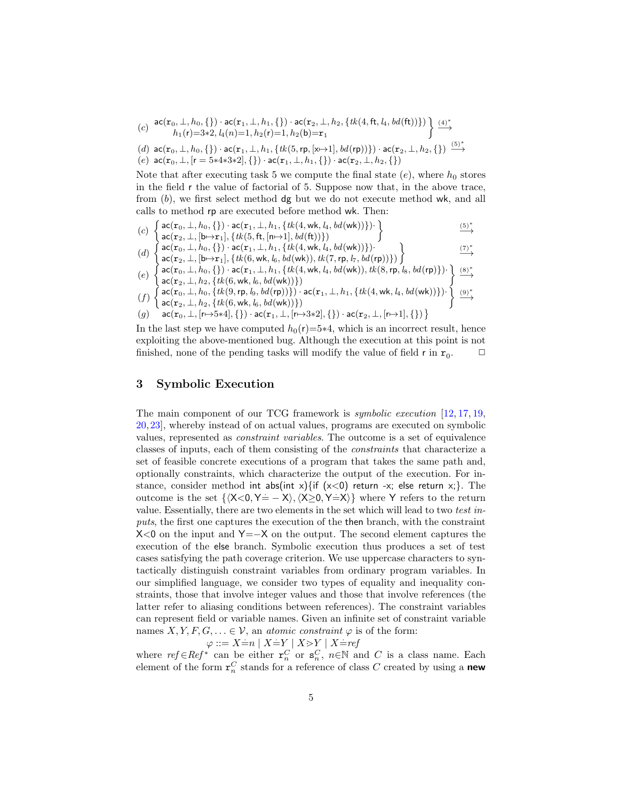$$
(c) \ \operatorname{ac}(\mathbf{r}_0, \bot, h_0, \{\}) \cdot \operatorname{ac}(\mathbf{r}_1, \bot, h_1, \{\}) \cdot \operatorname{ac}(\mathbf{r}_2, \bot, h_2, \{tk(4, \text{ft}, l_4, bd(\text{ft}))\}) \}\\ h_1(\mathbf{r}) = 3 \ast 2, l_4(n) = 1, h_2(\mathbf{r}) = 1, h_2(\mathbf{b}) = \mathbf{r}_1
$$

$$
\begin{array}{l}(d)\ \ \mathsf{ac}(\mathbf{r}_0,\bot,h_0,\{\})\cdot \mathsf{ac}(\mathbf{r}_1,\bot,h_1,\{tk(5,\mathsf{rp},[\mathsf{x}\mapsto 1],\mathit{bd}(\mathsf{rp}))\})\cdot \mathsf{ac}(\mathbf{r}_2,\bot,h_2,\{\})\stackrel{(5)^*}{\longrightarrow}\\(e)\ \ \mathsf{ac}(\mathbf{r}_0,\bot,[\mathsf{r}=5*4*3*2],\{\})\cdot \mathsf{ac}(\mathbf{r}_1,\bot,h_1,\{\})\cdot \mathsf{ac}(\mathbf{r}_2,\bot,h_2,\{\})\end{array}
$$

Note that after executing task 5 we compute the final state  $(e)$ , where  $h_0$  stores in the field r the value of factorial of 5. Suppose now that, in the above trace, from (b), we first select method dg but we do not execute method wk, and all calls to method rp are executed before method wk. Then:

$$
(c) \left\{ \begin{matrix} ac(\mathbf{r}_0, \perp, h_0, \{\}) \cdot ac(\mathbf{r}_1, \perp, h_1, \{tk(4, \mathsf{wk}, \mathit{l}_4, bd(\mathsf{wk}))\}) \cdot \\ ac(\mathbf{r}_2, \perp, [b \mapsto \mathbf{r}_1], \{tk(5, \mathsf{ft}, [n \mapsto 1], bd(\mathsf{ft}))\}) \end{matrix} \right\} \tag{5)*}
$$

$$
(d) \left\{ \begin{matrix} ac(\mathbf{r}_0, \perp, h_0, \{\}) \cdot ac(\mathbf{r}_1, \perp, h_1, \{tk(4, \text{wk}, l_4, bd(\text{wk}))\}) \cdot \\ ac(\mathbf{r}_2, \perp, [b \mapsto \mathbf{r}_1], \{tk(6, \text{wk}, l_6, bd(\text{wk})), tk(7, \text{rp}, l_7, bd(\text{rp}))\}) \end{matrix} \right\}
$$
 (7)\*

(e)  $\left\{ \begin{array}{l} \mathsf{ac}(\mathbf{r}_0, \perp, h_0, \{\}) \cdot \mathsf{ac}(\mathbf{r}_1, \perp, h_1, \{tk(4, \mathsf{wk}, l_4, bd(\mathsf{wk})), tk(8, \mathsf{rp}, l_8, bd(\mathsf{rp})\}) \cdot \end{array} \right.$  $\mathsf{ac}(\mathbf{r}_2, \bot, h_2, \{tk(6, \mathsf{wk}, \mathit{l}_6, \mathit{bd}(\mathsf{wk}))\})$ (8)<sup>∗</sup> −→

$$
(f) \left\{ \begin{matrix} \mathsf{ac}(\mathbf{r}_0, \bot, h_0, \{tk(9, \mathsf{rp}, l_9, bd(\mathsf{rp}))\}) \\ \mathsf{ac}(\mathbf{r}_2, \bot, h_2, \{tk(6, \mathsf{wk}, l_6, bd(\mathsf{wk}))\}) \end{matrix} \right\} \cdot \mathsf{ac}(\mathbf{r}_1, \bot, h_1, \{tk(4, \mathsf{wk}, l_4, bd(\mathsf{wk}))\}) \cdot \left\{ \begin{matrix} (9)^* \\ \bot \end{matrix} \right\}
$$

- (f)  $\left\{\begin{matrix}ac(x_0, \pm, n_0, \{th(x), \mp\}, \omega, \omega(\mp\mu))\}\ac(x_2, \pm, h_2, \{tk(6, wk, l_6, bd(wk))\})\end{matrix}\right\}$
- $(g)$  ac $(\mathbf{r}_0, \perp, [\mathsf{r}\mapsto 5*4], \{\})\cdot \mathsf{ac}(\mathbf{r}_1, \perp, [\mathsf{r}\mapsto 3*2], \{\})\cdot \mathsf{ac}(\mathbf{r}_2, \perp, [\mathsf{r}\mapsto 1], \{\})\}$

In the last step we have computed  $h_0(r)=5*4$ , which is an incorrect result, hence exploiting the above-mentioned bug. Although the execution at this point is not finished, none of the pending tasks will modify the value of field r in  $r_0$ .  $\Box$ 

### <span id="page-4-0"></span>3 Symbolic Execution

The main component of our TCG framework is *symbolic execution*  $[12, 17, 19]$  $[12, 17, 19]$  $[12, 17, 19]$  $[12, 17, 19]$ , [20,](#page-15-7)[23\]](#page-15-12), whereby instead of on actual values, programs are executed on symbolic values, represented as constraint variables. The outcome is a set of equivalence classes of inputs, each of them consisting of the constraints that characterize a set of feasible concrete executions of a program that takes the same path and, optionally constraints, which characterize the output of the execution. For instance, consider method int abs(int x){if (x<0) return -x; else return x;}. The outcome is the set  $\{\langle X<0, Y=-X\rangle, \langle X\geq 0, Y=X\rangle\}$  where Y refers to the return value. Essentially, there are two elements in the set which will lead to two test inputs, the first one captures the execution of the then branch, with the constraint X<0 on the input and Y=−X on the output. The second element captures the execution of the else branch. Symbolic execution thus produces a set of test cases satisfying the path coverage criterion. We use uppercase characters to syntactically distinguish constraint variables from ordinary program variables. In our simplified language, we consider two types of equality and inequality constraints, those that involve integer values and those that involve references (the latter refer to aliasing conditions between references). The constraint variables can represent field or variable names. Given an infinite set of constraint variable names  $X, Y, F, G, \ldots \in V$ , an *atomic constraint*  $\varphi$  is of the form:

 $\varphi ::= X = n \mid X = Y \mid X > Y \mid X = ref$ 

where  $ref \in Ref^*$  can be either  $\mathbf{r}_n^C$  or  $\mathbf{s}_n^C$ ,  $n \in \mathbb{N}$  and C is a class name. Each element of the form  $\mathbf{r}_n^C$  stands for a reference of class C created by using a **new**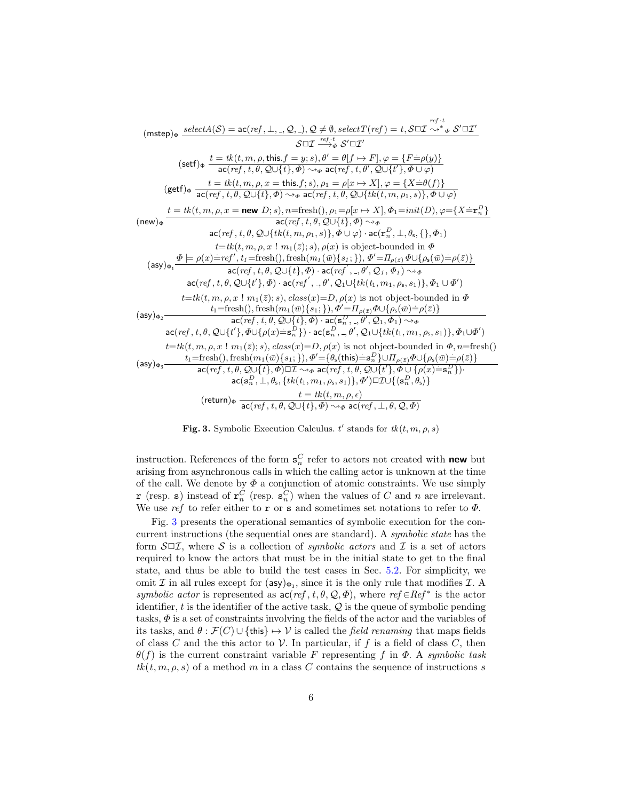$$
(\text{mstep})_{\Phi} \frac{\text{select}(A(S) = \text{ac}(ref, \bot, \_, Q, \_))}, Q \neq \emptyset, \text{select}(T(ref) = t, S \Box T \stackrel{ref \cdot t}{\leadsto *_{\Phi}} S' \Box T'
$$
\n
$$
S \Box T \stackrel{ref \cdot t}{\leadsto *_{\Phi}} S' \Box T'
$$
\n
$$
(\text{setf})_{\Phi} \frac{t = tk(t, m, \rho, \text{this}, f = y; s), \theta' = \theta[f \mapsto F], \varphi = \{F \doteq \rho(y)\}}{ \text{ac}(ref, t, \theta, Q \cup \{t\}, \Phi) \leadsto_{\Phi} \text{ac}(ref, t, \theta', Q \cup \{t'\}, \Phi \cup \varphi)}
$$
\n
$$
(\text{getf})_{\Phi} \frac{t = tk(t, m, \rho, x = \text{this}, f; s), \rho_1 = \rho[x \mapsto X], \varphi = \{X \doteq \theta(f)\}}{\text{ac}(ref, t, \theta, Q \cup \{t\}, \Phi) \leadsto_{\Phi} \text{ac}(ref, t, \theta, Q \cup \{tk(t, m, \rho, s)\}, \Phi \cup \varphi)}
$$
\n
$$
t = tk(t, m, \rho, x = \text{new } D; s), n = \text{fresh}(t), \rho_1 = \rho[x \mapsto X], \Phi_1 = \text{init}(D), \varphi = \{X \doteq r_n^D\}
$$
\n
$$
(\text{new})_{\Phi} \frac{t}{\text{ac}(ref, t, \theta, Q \cup \{tk(t, m, \rho, s)\}, \Phi \cup \varphi) \cdot \text{ac}(r_n^D, \bot, \Phi_s, \{\}, \Phi_1) \downarrow \text{c}(r_n^D, t, \theta, Q \cup \{tk(t, m, \rho, s)\}, \Phi \cup \varphi) \cdot \text{ac}(r_n^D, \bot, \Phi_s, \{\}, \Phi_1) \downarrow \text{c}(r_n^D, t, \theta, Q \cup \{tk(t, m, \rho, s, s)\}, \Phi \cup \varphi) \cdot \text{ac}(r_n^D, t, \theta, Q \cup \{t\}, \Phi) \cdot \text{ac}(r_n^D, t, \theta, Q \cup \{t\}, \Phi) \cdot \text{ac}(r_n^D, \bot, \Phi_s, \{), \Phi_1 \cup \Phi'\}
$$

<span id="page-5-0"></span>

instruction. References of the form  $\mathbf{s}_n^C$  refer to actors not created with **new** but arising from asynchronous calls in which the calling actor is unknown at the time of the call. We denote by  $\Phi$  a conjunction of atomic constraints. We use simply **r** (resp. **s**) instead of  $\mathbf{r}_n^C$  (resp.  $\mathbf{s}_n^C$ ) when the values of C and n are irrelevant. We use ref to refer either to r or s and sometimes set notations to refer to  $\Phi$ .

Fig. [3](#page-5-0) presents the operational semantics of symbolic execution for the concurrent instructions (the sequential ones are standard). A symbolic state has the form  $\mathcal{S}\square\mathcal{I}$ , where  $\mathcal S$  is a collection of *symbolic actors* and  $\mathcal I$  is a set of actors required to know the actors that must be in the initial state to get to the final state, and thus be able to build the test cases in Sec. [5.2.](#page-11-0) For simplicity, we omit  $\mathcal I$  in all rules except for  $(\mathsf{asy})_{\Phi_3}$ , since it is the only rule that modifies  $\mathcal I$ . A symbolic actor is represented as  $ac(ref, t, \theta, Q, \Phi)$ , where  $ref \in Ref^*$  is the actor identifier,  $t$  is the identifier of the active task,  $Q$  is the queue of symbolic pending tasks,  $\Phi$  is a set of constraints involving the fields of the actor and the variables of its tasks, and  $\theta : \mathcal{F}(C) \cup \{\text{this}\} \mapsto \mathcal{V}$  is called the field renaming that maps fields of class C and the this actor to V. In particular, if f is a field of class C, then  $\theta(f)$  is the current constraint variable F representing f in  $\Phi$ . A symbolic task  $tk(t, m, \rho, s)$  of a method m in a class C contains the sequence of instructions s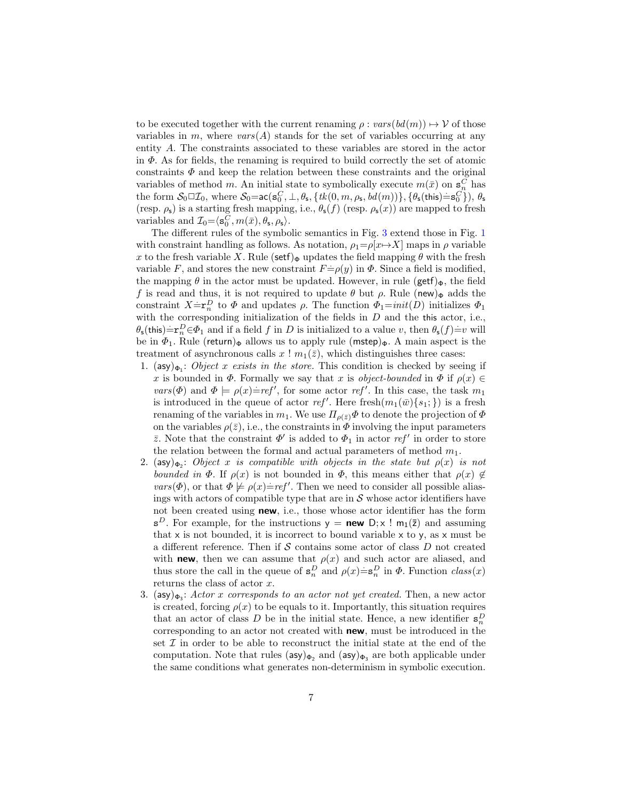to be executed together with the current renaming  $\rho : vars(bd(m)) \rightarrow V$  of those variables in m, where  $vars(A)$  stands for the set of variables occurring at any entity A. The constraints associated to these variables are stored in the actor in  $\Phi$ . As for fields, the renaming is required to build correctly the set of atomic constraints  $\Phi$  and keep the relation between these constraints and the original variables of method m. An initial state to symbolically execute  $m(\bar{x})$  on  $\mathbf{s}_n^C$  has the form  $\mathcal{S}_0 \Box \mathcal{I}_0$ , where  $\mathcal{S}_0 = \mathsf{ac}(\mathbf{s}_0^C, \bot, \theta_{\mathbf{s}}, \{ t k(0, m, \rho_{\mathbf{s}}, bd(m)) \}, \{ \theta_{\mathbf{s}}(\mathsf{this}) = \mathbf{s}_0^C \})$ ,  $\theta_{\mathbf{s}}$ (resp.  $\rho_s$ ) is a starting fresh mapping, i.e.,  $\theta_s(f)$  (resp.  $\rho_s(x)$ ) are mapped to fresh variables and  $\mathcal{I}_0 = \langle \mathbf{s}_0^C, m(\bar{x}), \theta_{\mathbf{s}}, \rho_{\mathbf{s}} \rangle$ .

The different rules of the symbolic semantics in Fig. [3](#page-5-0) extend those in Fig. [1](#page-2-0) with constraint handling as follows. As notation,  $\rho_1 = \rho[x \mapsto X]$  maps in  $\rho$  variable x to the fresh variable X. Rule (setf)<sub>Φ</sub> updates the field mapping  $\theta$  with the fresh variable F, and stores the new constraint  $F = \rho(y)$  in  $\Phi$ . Since a field is modified, the mapping  $\theta$  in the actor must be updated. However, in rule (getf)<sub> $\phi$ </sub>, the field f is read and thus, it is not required to update  $\theta$  but  $\rho$ . Rule (new)<sub>Φ</sub> adds the constraint  $X = \mathbf{r}_n^D$  to  $\Phi$  and updates  $\rho$ . The function  $\phi_1 = init(D)$  initializes  $\phi_1$ with the corresponding initialization of the fields in  $D$  and the this actor, i.e.,  $\theta_{s}$ (this)  $=r_{n}^{D} \in \Phi_{1}$  and if a field f in D is initialized to a value v, then  $\theta_{s}(f)=v$  will be in  $\Phi_1$ . Rule (return) $\Phi$  allows us to apply rule (mstep) $\Phi$ . A main aspect is the treatment of asynchronous calls  $x \, | m_1(\bar{z})$ , which distinguishes three cases:

- 1. (asy) $\phi_1$ : *Object x exists in the store*. This condition is checked by seeing if x is bounded in  $\Phi$ . Formally we say that x is *object-bounded* in  $\Phi$  if  $\rho(x) \in$ vars( $\Phi$ ) and  $\Phi \models \rho(x) = ref'$ , for some actor ref'. In this case, the task  $m_1$ is introduced in the queue of actor ref'. Here fresh $(m_1(\bar{w})\{s_1;\})$  is a fresh renaming of the variables in  $m_1$ . We use  $\Pi_{\rho(\bar{z})}\Phi$  to denote the projection of  $\Phi$ on the variables  $\rho(\bar{z})$ , i.e., the constraints in  $\Phi$  involving the input parameters  $\bar{z}$ . Note that the constraint  $\Phi'$  is added to  $\Phi_1$  in actor ref' in order to store the relation between the formal and actual parameters of method  $m_1$ .
- 2. (asy) $\mathfrak{g}_2$ : Object x is compatible with objects in the state but  $\rho(x)$  is not bounded in  $\Phi$ . If  $\rho(x)$  is not bounded in  $\Phi$ , this means either that  $\rho(x) \notin$  $vars(\Phi)$ , or that  $\Phi \not\models \rho(x) = ref'$ . Then we need to consider all possible aliasings with actors of compatible type that are in  $\mathcal S$  whose actor identifiers have not been created using new, i.e., those whose actor identifier has the form  $s^D$ . For example, for the instructions  $y = new D; x$ !  $m_1(\bar{z})$  and assuming that  $x$  is not bounded, it is incorrect to bound variable  $x$  to  $y$ , as  $x$  must be a different reference. Then if  $S$  contains some actor of class  $D$  not created with new, then we can assume that  $\rho(x)$  and such actor are aliased, and thus store the call in the queue of  $\mathbf{s}_n^D$  and  $\rho(x)=\mathbf{s}_n^D$  in  $\Phi$ . Function  $class(x)$ returns the class of actor  $x$ .
- 3. (asy) $\mathfrak{g}_3$ : Actor x corresponds to an actor not yet created. Then, a new actor is created, forcing  $\rho(x)$  to be equals to it. Importantly, this situation requires that an actor of class D be in the initial state. Hence, a new identifier  $\mathbf{s}_n^D$ corresponding to an actor not created with new, must be introduced in the set  $\mathcal I$  in order to be able to reconstruct the initial state at the end of the computation. Note that rules (asy) $\phi_2$  and (asy) $\phi_3$  are both applicable under the same conditions what generates non-determinism in symbolic execution.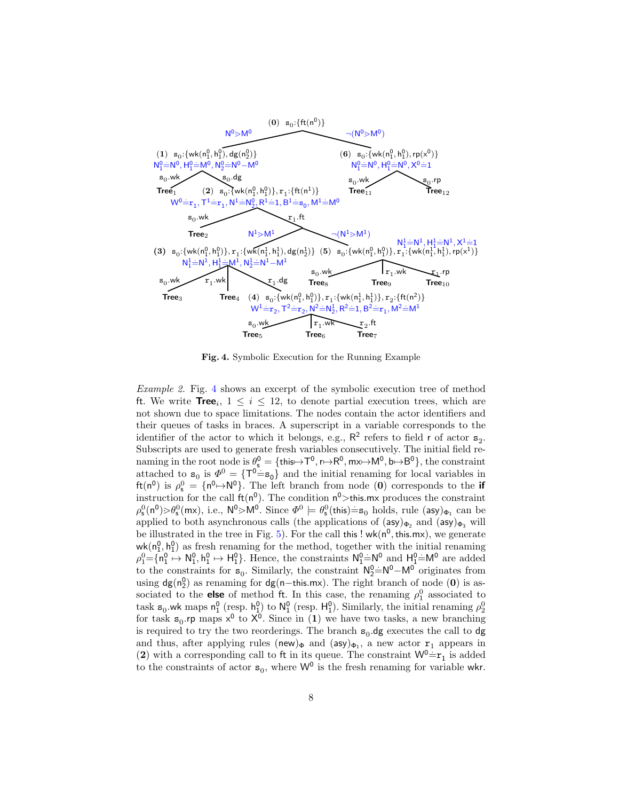

Fig. 4. Symbolic Execution for the Running Example

<span id="page-7-1"></span><span id="page-7-0"></span>Example 2. Fig. [4](#page-7-0) shows an excerpt of the symbolic execution tree of method ft. We write  $\text{Tree}_i$ ,  $1 \leq i \leq 12$ , to denote partial execution trees, which are not shown due to space limitations. The nodes contain the actor identifiers and their queues of tasks in braces. A superscript in a variable corresponds to the identifier of the actor to which it belongs, e.g.,  $\mathsf{R}^2$  refers to field r of actor  $\mathbf{s}_2$ . Subscripts are used to generate fresh variables consecutively. The initial field renaming in the root node is  $\theta_s^0 = \{\text{this} \rightarrow T^0, r \mapsto R^0, m \times \rightarrow M^0, b \mapsto B^0\}$ , the constraint attached to  $\mathbf{s}_0$  is  $\Phi^0 = {\mathbf{T}^0 = \mathbf{s}_0}$  and the initial renaming for local variables in  $ft(n^0)$  is  $\rho_s^0 = \{n^0 \rightarrow N^0\}$ . The left branch from node (0) corresponds to the if instruction for the call  $ft(n^0)$ . The condition  $n^0$ >this.mx produces the constraint  $\rho_s^0(n^0)$  $> \theta_s^0(mx)$ , i.e.,  $N^0$  $> M^0$ . Since  $\Phi^0 \models \theta_s^0(\text{this}) = \mathbf{s}_0$  holds, rule  $(\text{asy})_{\Phi_1}$  can be applied to both asynchronous calls (the applications of (asy) $_{\Phi_2}$  and (asy) $_{\Phi_3}$  will be illustrated in the tree in Fig. [5\)](#page-10-0). For the call this !  $wk(n^0, \text{this}.\text{mx})$ , we generate  $wk(n_1^0, h_1^0)$  as fresh renaming for the method, together with the initial renaming  $\rho_1^0 = \{\mathsf{n}_1^0 \mapsto \mathsf{N}_1^0, \mathsf{h}_1^0 \mapsto \mathsf{H}_1^0\}$ . Hence, the constraints  $\mathsf{N}_1^0 = \mathsf{N}^0$  and  $\mathsf{H}_1^0 = \mathsf{M}^0$  are added to the constraints for  $s_0$ . Similarly, the constraint  $N_2^0 = N^0 - M^0$  originates from using  $dg(n_2^0)$  as renaming for  $dg(n-this.mx)$ . The right branch of node  $(0)$  is associated to the **else** of method ft. In this case, the renaming  $\rho_1^0$  associated to task  $s_0$  wk maps  $n_1^0$  (resp.  $h_1^0$ ) to  $N_1^0$  (resp.  $H_1^0$ ). Similarly, the initial renaming  $\rho_2^0$ for task  $s_0$ .rp maps  $x^0$  to  $X^0$ . Since in  $(1)$  we have two tasks, a new branching is required to try the two reorderings. The branch  $s_0$  dg executes the call to dg and thus, after applying rules (new) $_{\Phi}$  and (asy) $_{\Phi_1}$ , a new actor  $r_1$  appears in (2) with a corresponding call to ft in its queue. The constraint  $W^0 = r_1$  is added to the constraints of actor  $s_0$ , where  $W^0$  is the fresh renaming for variable wkr.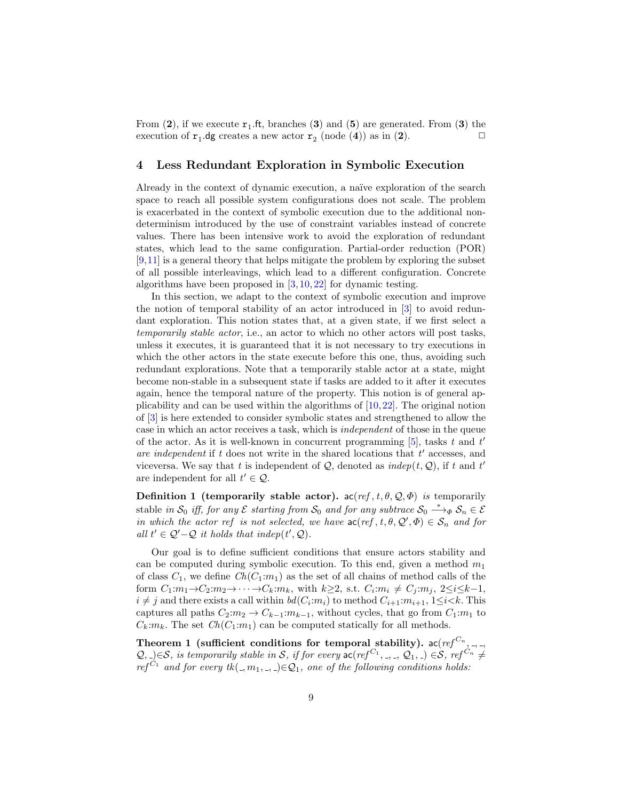From  $(2)$ , if we execute  $r_1$ .ft, branches  $(3)$  and  $(5)$  are generated. From  $(3)$  the execution of  $\mathbf{r}_1$  dg creates a new actor  $\mathbf{r}_2$  (node (4)) as in (2).

### <span id="page-8-0"></span>4 Less Redundant Exploration in Symbolic Execution

Already in the context of dynamic execution, a naïve exploration of the search space to reach all possible system configurations does not scale. The problem is exacerbated in the context of symbolic execution due to the additional nondeterminism introduced by the use of constraint variables instead of concrete values. There has been intensive work to avoid the exploration of redundant states, which lead to the same configuration. Partial-order reduction (POR) [\[9,](#page-15-13)[11\]](#page-15-14) is a general theory that helps mitigate the problem by exploring the subset of all possible interleavings, which lead to a different configuration. Concrete algorithms have been proposed in  $[3, 10, 22]$  $[3, 10, 22]$  $[3, 10, 22]$  $[3, 10, 22]$  $[3, 10, 22]$  for dynamic testing.

In this section, we adapt to the context of symbolic execution and improve the notion of temporal stability of an actor introduced in [\[3\]](#page-15-8) to avoid redundant exploration. This notion states that, at a given state, if we first select a temporarily stable actor, i.e., an actor to which no other actors will post tasks, unless it executes, it is guaranteed that it is not necessary to try executions in which the other actors in the state execute before this one, thus, avoiding such redundant explorations. Note that a temporarily stable actor at a state, might become non-stable in a subsequent state if tasks are added to it after it executes again, hence the temporal nature of the property. This notion is of general applicability and can be used within the algorithms of  $[10,22]$  $[10,22]$ . The original notion of [\[3\]](#page-15-8) is here extended to consider symbolic states and strengthened to allow the case in which an actor receives a task, which is independent of those in the queue of the actor. As it is well-known in concurrent programming  $[5]$ , tasks t and t' are independent if  $t$  does not write in the shared locations that  $t'$  accesses, and viceversa. We say that t is independent of  $Q$ , denoted as  $\text{indep}(t, Q)$ , if t and t' are independent for all  $t' \in \mathcal{Q}$ .

**Definition 1 (temporarily stable actor).**  $\text{ac}(ref, t, \theta, Q, \Phi)$  is temporarily stable in  $S_0$  iff, for any  $\mathcal E$  starting from  $S_0$  and for any subtrace  $S_0 \stackrel{*}{\longrightarrow}_{\Phi} S_n \in \mathcal E$ in which the actor ref is not selected, we have  $\operatorname{ac}(ref, t, \theta, Q', \Phi) \in S_n$  and for all  $t' \in \mathcal{Q}'$  −  $\mathcal{Q}$  it holds that indep(t',  $\mathcal{Q}$ ).

Our goal is to define sufficient conditions that ensure actors stability and can be computed during symbolic execution. To this end, given a method  $m_1$ of class  $C_1$ , we define  $Ch(C_1: m_1)$  as the set of all chains of method calls of the form  $C_1: m_1 \rightarrow C_2: m_2 \rightarrow \cdots \rightarrow C_k: m_k$ , with  $k \geq 2$ , s.t.  $C_i: m_i \neq C_j: m_j, 2 \leq i \leq k-1$ ,  $i \neq j$  and there exists a call within  $bd(C_i:m_i)$  to method  $C_{i+1}:m_{i+1}, 1 \leq i \leq k$ . This captures all paths  $C_2: m_2 \to C_{k-1}: m_{k-1}$ , without cycles, that go from  $C_1: m_1$  to  $C_k: m_k$ . The set  $Ch(C_1: m_1)$  can be computed statically for all methods.

<span id="page-8-1"></span>Theorem 1 (sufficient conditions for temporal stability). ac( $\mathit{ref}^{C_n}, \_, \_,$  $(Q, \Box) \in S$ , is temporarily stable in S, if for every  $\operatorname{ac}(ref^{C_1}, \Box, \Box, Q_1, \Box) \in S$ ,  $ref^{C_n} \neq$ ref<sup> $C_1$ </sup> and for every  $tk( ,m_1, ,.)\in Q_1$ , one of the following conditions holds: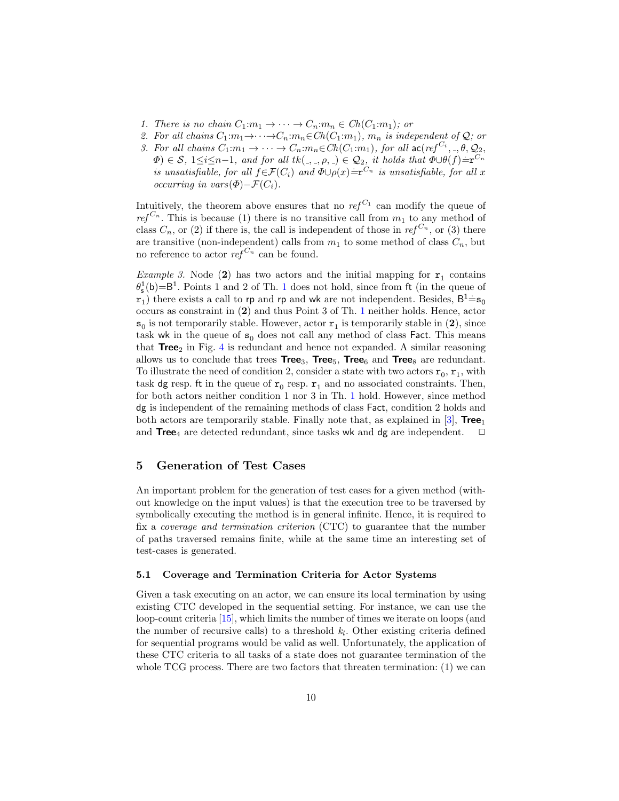- 1. There is no chain  $C_1: m_1 \to \cdots \to C_n: m_n \in Ch(C_1: m_1);$  or
- 2. For all chains  $C_1: m_1 \to \cdots \to C_n: m_n \in Ch(C_1: m_1)$ ,  $m_n$  is independent of  $\mathcal{Q}$ ; or
- 3. For all chains  $C_1: m_1 \to \cdots \to C_n: m_n \in Ch(C_1:m_1)$ , for all  $\text{ac}(ref^{C_i}, \ldots, \theta, \mathcal{Q}_2)$ ,  $\Phi$ )  $\in \mathcal{S}$ ,  $1 \leq i \leq n-1$ , and for all  $tk(0, ..., \rho, 0) \in \mathcal{Q}_2$ , it holds that  $\Phi \cup \theta(f) = r^{C_n}$ is unsatisfiable, for all  $\tilde{f} \in \mathcal{F}(C_i)$  and  $\Phi \cup \rho(x) = \tilde{f}^{C_n}$  is unsatisfiable, for all x occurring in vars $(\Phi)$ - $\mathcal{F}(C_i)$ .

Intuitively, the theorem above ensures that no  $ref^{C_1}$  can modify the queue of ref<sup> $C_n$ </sup>. This is because (1) there is no transitive call from  $m_1$  to any method of class  $C_n$ , or (2) if there is, the call is independent of those in  $ref^{C_n}$ , or (3) there are transitive (non-independent) calls from  $m_1$  to some method of class  $C_n$ , but no reference to actor  $ref^{C_n}$  can be found.

*Example 3.* Node (2) has two actors and the initial mapping for  $r_1$  contains  $\theta_s^1(b)=B^1$  $\theta_s^1(b)=B^1$  $\theta_s^1(b)=B^1$ . Points 1 and 2 of Th. 1 does not hold, since from ft (in the queue of  $\mathbf{r}_1$ ) there exists a call to rp and rp and wk are not independent. Besides,  $B^1 = s_0$ occurs as constraint in (2) and thus Point 3 of Th. [1](#page-8-1) neither holds. Hence, actor  $s_0$  is not temporarily stable. However, actor  $r_1$  is temporarily stable in (2), since task wk in the queue of  $s_0$  does not call any method of class Fact. This means that  $Tree_2$  in Fig. [4](#page-7-0) is redundant and hence not expanded. A similar reasoning allows us to conclude that trees **Tree**<sub>3</sub>, **Tree**<sub>6</sub>, **Tree**<sub>6</sub> and **Tree**<sub>8</sub> are redundant. To illustrate the need of condition 2, consider a state with two actors  $\mathbf{r}_0, \mathbf{r}_1$ , with task dg resp. ft in the queue of  $r_0$  resp.  $r_1$  and no associated constraints. Then, for both actors neither condition 1 nor 3 in Th. [1](#page-8-1) hold. However, since method dg is independent of the remaining methods of class Fact, condition 2 holds and both actors are temporarily stable. Finally note that, as explained in  $[3]$ , Tree<sub>1</sub> and **Tree**<sub>4</sub> are detected redundant, since tasks wk and dg are independent.  $\Box$ 

### <span id="page-9-0"></span>5 Generation of Test Cases

An important problem for the generation of test cases for a given method (without knowledge on the input values) is that the execution tree to be traversed by symbolically executing the method is in general infinite. Hence, it is required to fix a coverage and termination criterion (CTC) to guarantee that the number of paths traversed remains finite, while at the same time an interesting set of test-cases is generated.

#### <span id="page-9-1"></span>5.1 Coverage and Termination Criteria for Actor Systems

Given a task executing on an actor, we can ensure its local termination by using existing CTC developed in the sequential setting. For instance, we can use the loop-count criteria [\[15\]](#page-15-17), which limits the number of times we iterate on loops (and the number of recursive calls) to a threshold  $k_l$ . Other existing criteria defined for sequential programs would be valid as well. Unfortunately, the application of these CTC criteria to all tasks of a state does not guarantee termination of the whole TCG process. There are two factors that threaten termination: (1) we can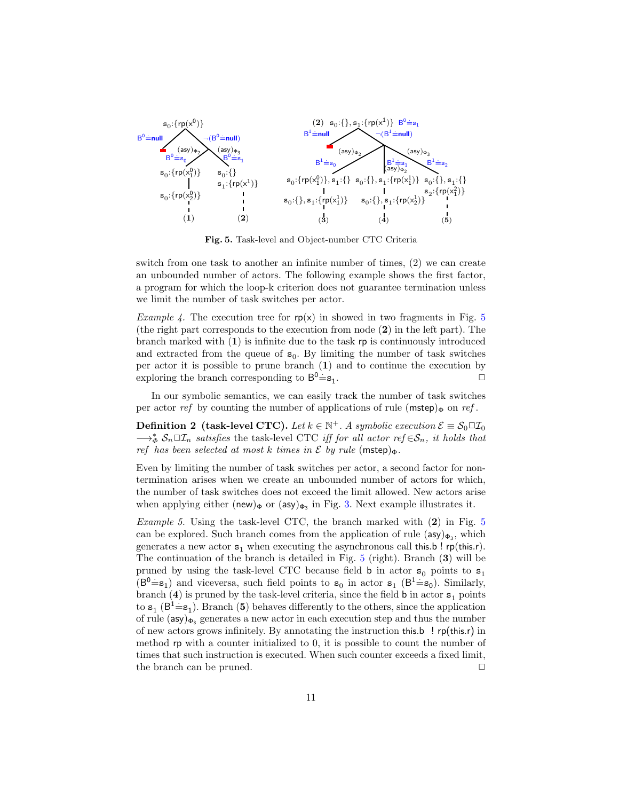

Fig. 5. Task-level and Object-number CTC Criteria

<span id="page-10-0"></span>switch from one task to another an infinite number of times, (2) we can create an unbounded number of actors. The following example shows the first factor, a program for which the loop-k criterion does not guarantee termination unless we limit the number of task switches per actor.

*Example 4.* The execution tree for  $rp(x)$  in showed in two fragments in Fig. [5](#page-10-0) (the right part corresponds to the execution from node (2) in the left part). The branch marked with  $(1)$  is infinite due to the task rp is continuously introduced and extracted from the queue of  $s_0$ . By limiting the number of task switches per actor it is possible to prune branch (1) and to continue the execution by exploring the branch corresponding to  $B^0 \equiv s_1$ . The contract of  $\Box$ 

In our symbolic semantics, we can easily track the number of task switches per actor ref by counting the number of applications of rule  $(mstep)_{\Phi}$  on ref.

**Definition 2** (task-level CTC). Let  $k \in \mathbb{N}^+$ . A symbolic execution  $\mathcal{E} \equiv \mathcal{S}_0 \Box \mathcal{I}_0$  $\longrightarrow_{\Phi}^* S_n \square \mathcal{I}_n$  satisfies the task-level CTC iff for all actor ref $\in \mathcal{S}_n$ , it holds that ref has been selected at most k times in  $\mathcal E$  by rule (mstep) $\phi$ .

Even by limiting the number of task switches per actor, a second factor for nontermination arises when we create an unbounded number of actors for which, the number of task switches does not exceed the limit allowed. New actors arise when applying either (new) $_{\Phi}$  or (asy) $_{\Phi_3}$  in Fig. [3.](#page-5-0) Next example illustrates it.

Example 5. Using the task-level CTC, the branch marked with (2) in Fig. [5](#page-10-0) can be explored. Such branch comes from the application of rule  $(asy)_{\Phi_3}$ , which generates a new actor  $s_1$  when executing the asynchronous call this.b ! rp(this.r). The continuation of the branch is detailed in Fig.  $5$  (right). Branch (3) will be pruned by using the task-level CTC because field **b** in actor  $s_0$  points to  $s_1$  $(B^0 \equiv s_1)$  and viceversa, such field points to  $s_0$  in actor  $s_1$   $(B^1 \equiv s_0)$ . Similarly, branch (4) is pruned by the task-level criteria, since the field  $\mathbf b$  in actor  $\mathbf s_1$  points to  $s_1$  ( $B^1 = s_1$ ). Branch (5) behaves differently to the others, since the application of rule  $(asy)_{\Phi_3}$  generates a new actor in each execution step and thus the number of new actors grows infinitely. By annotating the instruction this.b ! rp(this.r) in method rp with a counter initialized to 0, it is possible to count the number of times that such instruction is executed. When such counter exceeds a fixed limit, the branch can be pruned.  $\Box$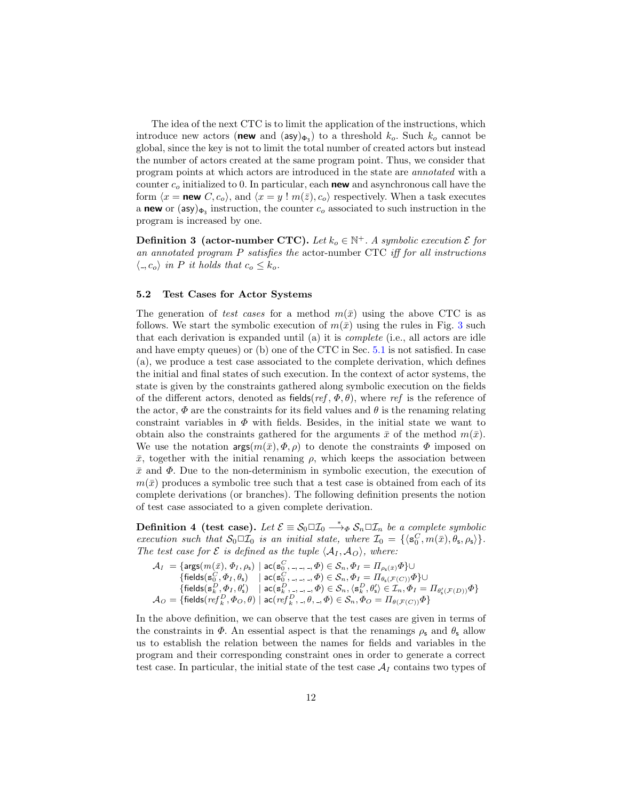The idea of the next CTC is to limit the application of the instructions, which introduce new actors (new and (asy) $\phi_3$ ) to a threshold  $k_o$ . Such  $k_o$  cannot be global, since the key is not to limit the total number of created actors but instead the number of actors created at the same program point. Thus, we consider that program points at which actors are introduced in the state are annotated with a counter  $c<sub>o</sub>$  initialized to 0. In particular, each **new** and asynchronous call have the form  $\langle x = \text{new } C, c_o \rangle$ , and  $\langle x = y | m(\overline{z}), c_o \rangle$  respectively. When a task executes a new or  $(asy)_{\Phi_3}$  instruction, the counter  $c_o$  associated to such instruction in the program is increased by one.

**Definition 3** (actor-number CTC). Let  $k_o \in \mathbb{N}^+$ . A symbolic execution  $\mathcal E$  for an annotated program P satisfies the actor-number CTC iff for all instructions  $\langle \_, c_o \rangle$  in P it holds that  $c_o \leq k_o$ .

### <span id="page-11-0"></span>5.2 Test Cases for Actor Systems

The generation of test cases for a method  $m(\bar{x})$  using the above CTC is as follows. We start the symbolic execution of  $m(\bar{x})$  using the rules in Fig. [3](#page-5-0) such that each derivation is expanded until (a) it is complete (i.e., all actors are idle and have empty queues) or (b) one of the CTC in Sec. [5.1](#page-9-1) is not satisfied. In case (a), we produce a test case associated to the complete derivation, which defines the initial and final states of such execution. In the context of actor systems, the state is given by the constraints gathered along symbolic execution on the fields of the different actors, denoted as fields( $ref, \Phi, \theta$ ), where ref is the reference of the actor,  $\Phi$  are the constraints for its field values and  $\theta$  is the renaming relating constraint variables in  $\Phi$  with fields. Besides, in the initial state we want to obtain also the constraints gathered for the arguments  $\bar{x}$  of the method  $m(\bar{x})$ . We use the notation  $\arg s(m(\bar{x}), \Phi, \rho)$  to denote the constraints  $\Phi$  imposed on  $\bar{x}$ , together with the initial renaming  $\rho$ , which keeps the association between  $\bar{x}$  and  $\bar{\Phi}$ . Due to the non-determinism in symbolic execution, the execution of  $m(\bar{x})$  produces a symbolic tree such that a test case is obtained from each of its complete derivations (or branches). The following definition presents the notion of test case associated to a given complete derivation.

**Definition 4 (test case).** Let  $\mathcal{E} \equiv \mathcal{S}_0 \square \mathcal{I}_0 \stackrel{*}{\longrightarrow}_{\Phi} \mathcal{S}_n \square \mathcal{I}_n$  be a complete symbolic execution such that  $S_0 \Box T_0$  is an initial state, where  $T_0 = {\{\langle s_0^C, m(\bar{x}), \theta_{\sf s}, \rho_{\sf s} \rangle\}}$ . The test case for  $\mathcal E$  is defined as the tuple  $\langle A_I, A_O \rangle$ , where:

 $\mathcal{A}_I\ =\ \{\mathsf{args}(m(\bar{x}),\varPhi_I,\rho_\mathsf{s})\ \ |\ \mathsf{ac}(\mathbf{s}^C_0,\_,\_,\_,\_,\varPhi) \in \mathcal{S}_n, \varPhi_I=\varPi_{\rho_\mathsf{s}(\bar{x})}\varPhi\} \cup$  $\{{\sf fields}({\bf s}_0^C, \varPhi_I, \theta_{\sf s})\quad | \; {\sf ac}({\bf s}_0^C, \_,\_,\_, \varPhi) \in \mathcal{S}_n, \varPhi_I = \varPi_{\theta_{\sf s}(\mathcal{F}(C))}\varPhi\} \cup$  $\{\mathsf{fields}(\mathbf{s}_k^D, \Phi_I, \theta'_\mathbf{s}) \quad | \ \mathsf{ac}(\mathbf{s}_k^D, \_, \_, \_, \phi) \in \mathcal{S}_n, \langle \mathbf{s}_k^D, \theta'_\mathbf{s} \rangle \in \mathcal{I}_n, \Phi_I = \Pi_{\theta'_\mathbf{s}(\mathcal{F}(D))}\Phi\}$  $\mathcal{A}_O=\{\mathsf{fields}(ref^D_k,\Phi_O,\theta)\mid \mathsf{ac}(ref^D_k,.,\theta,.,\Phi)\in \mathcal{S}_n, \Phi_O=\varPi_{\theta(\mathcal{F}(C))}\Phi\}$ 

In the above definition, we can observe that the test cases are given in terms of the constraints in  $\Phi$ . An essential aspect is that the renamings  $\rho_s$  and  $\theta_s$  allow us to establish the relation between the names for fields and variables in the program and their corresponding constraint ones in order to generate a correct test case. In particular, the initial state of the test case  $A_I$  contains two types of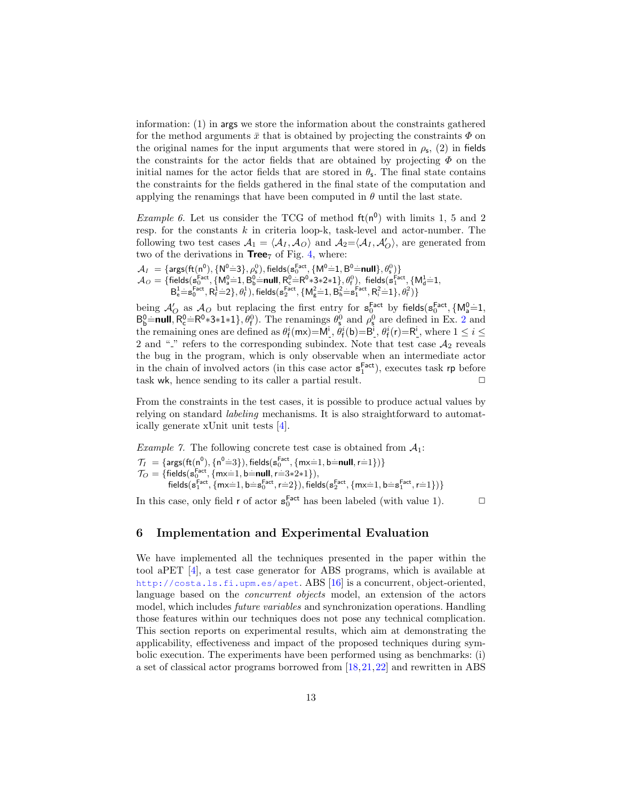information: (1) in args we store the information about the constraints gathered for the method arguments  $\bar{x}$  that is obtained by projecting the constraints  $\Phi$  on the original names for the input arguments that were stored in  $\rho_s$ , (2) in fields the constraints for the actor fields that are obtained by projecting  $\Phi$  on the initial names for the actor fields that are stored in  $\theta_{s}$ . The final state contains the constraints for the fields gathered in the final state of the computation and applying the renamings that have been computed in  $\theta$  until the last state.

*Example 6*. Let us consider the TCG of method  $ft(n^0)$  with limits 1, 5 and 2 resp. for the constants  $k$  in criteria loop-k, task-level and actor-number. The following two test cases  $A_1 = \langle A_I, A_O \rangle$  and  $A_2 = \langle A_I, A_O \rangle$ , are generated from two of the derivations in  $Tree_7$  of Fig. [4,](#page-7-0) where:

$$
\begin{array}{l} {\mathcal A}_I \ = \{ \arg\!\!\!\!\! \left( {\mathfrak {fit}}(n^0), \{ N^0 \dot =\! 3 \}, \rho^0_s ) , \text{fields}(s^{\rm fact}_{0}, \{ N^0 \dot =\! 1 , B^0 \dot =\! \hspace{-0.1cm} \text{null} \}, \theta^0_s ) \right\} \\ {\mathcal A}_O \ = \{ \text{fields}(s^{\rm Fact}_{0}, \{ N^0_a \dot =\! 1 , B^0_b \dot =\! \text{null} , R^0_c \dot =\! R^0 \ast 3 \ast 2 \ast 1 \}, \theta^0_f ) , \text{ fields}(s^{\rm fact}_{1} , \{ M^1_d \dot =\! 1 , B^1_e \dot =\! s^{\rm fact}_{0}, R^1_f \dot =\! 2 \}, \theta^1_f ) , \text{fields}(s^{\rm fact}_{2} , \{ M^2_g \dot =\! 1 , B^2_h \dot =\! s^{\rm fact}_{1} , R^2_i \dot =\! 1 \}, \theta^2_f ) \} \end{array}
$$

being  $\mathcal{A}'_O$  as  $\mathcal{A}_O$  but replacing the first entry for  $s_0^{\text{Fact}}$  by fields( $s_0^{\text{Fact}}$ , { $M_a^0=1$ ,  $B_b^0$ =null,  $R_c^0$ = $R^0$ \*3\*1\*1},  $\theta_f^0$ . The renamings  $\theta_s^0$  and  $\rho_s^0$  are defined in Ex. [2](#page-7-1) and the remaining ones are defined as  $\theta_f^i(\text{mx}) = M^i$ ,  $\theta_f^i(\text{b}) = B^i$ ,  $\theta_f^i(\text{r}) = R^i$ , where  $1 \le i \le$ 2 and "." refers to the corresponding subindex. Note that test case  $A_2$  reveals the bug in the program, which is only observable when an intermediate actor in the chain of involved actors (in this case actor  $s_1^{\text{Fact}}$ ), executes task rp before task wk, hence sending to its caller a partial result.  $\Box$ 

From the constraints in the test cases, it is possible to produce actual values by relying on standard labeling mechanisms. It is also straightforward to automatically generate xUnit unit tests [\[4\]](#page-15-9).

*Example 7.* The following concrete test case is obtained from  $A_1$ :  $\mathcal{T}_I \ = \{\mathsf{args}(\mathsf{ft}(\mathsf{n}^0), \{\mathsf{n}^0\dot = 3\}), \mathsf{fields}(\mathbf{s}_0^{\mathsf{Fact}}, \{\mathsf{mx}\dot = 1, \mathsf{b}\dot = \mathsf{null}, \mathsf{r}\dot = 1\})\}$  $\mathcal{T}_O = \{\mathsf{fields}(\mathbf{s}_0^{\mathsf{Fact}}, \{\mathsf{mx=1}, \mathsf{b=null}, \mathsf{r=3*2*1}\}),$  ${\sf fields}({\bf s}_1^{{\sf Fact}},\{{\sf mx}{=}\overline{1},{\sf b}{=}{\bf s}_0^{{\sf Fact}}, {\sf r}{=}\overline{2}\}), {\sf fields}({\bf s}_2^{{\sf Fact}},\{{\sf mx}{=}\overline{1},{\sf b}{=}{\bf s}_1^{{\sf Fact}}, {\sf r}{=}\overline{1}\})\}$ 

In this case, only field **r** of actor  $\mathbf{s}_0^{\text{Fact}}$  has been labeled (with value 1).  $\Box$ 

### 6 Implementation and Experimental Evaluation

We have implemented all the techniques presented in the paper within the tool aPET [\[4\]](#page-15-9), a test case generator for ABS programs, which is available at <http://costa.ls.fi.upm.es/apet>. ABS [\[16\]](#page-15-18) is a concurrent, object-oriented, language based on the *concurrent objects* model, an extension of the actors model, which includes future variables and synchronization operations. Handling those features within our techniques does not pose any technical complication. This section reports on experimental results, which aim at demonstrating the applicability, effectiveness and impact of the proposed techniques during symbolic execution. The experiments have been performed using as benchmarks: (i) a set of classical actor programs borrowed from [\[18,](#page-15-19)[21,](#page-15-11)[22\]](#page-15-10) and rewritten in ABS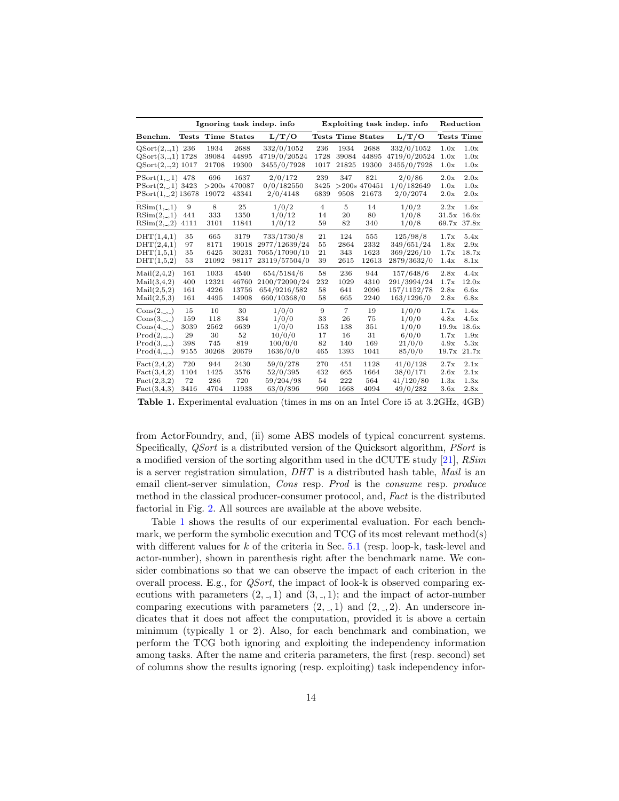<span id="page-13-0"></span>

|                         | Ignoring task indep. info |       |                   |               | Exploiting task indep. info |                |                          |              | Reduction |                   |
|-------------------------|---------------------------|-------|-------------------|---------------|-----------------------------|----------------|--------------------------|--------------|-----------|-------------------|
| Benchm.                 |                           |       | Tests Time States | L/T/O         |                             |                | <b>Tests Time States</b> | L/T/O        |           | <b>Tests Time</b> |
| QSort(2, ., 1)          | 236                       | 1934  | 2688              | 332/0/1052    | 236                         | 1934           | 2688                     | 332/0/1052   | 1.0x      | 1.0x              |
| $QSort(3, ., 1)$ 1728   |                           | 39084 | 44895             | 4719/0/20524  | 1728                        | 39084          | 44895                    | 4719/0/20524 | 1.0x      | 1.0x              |
| $QSort(2, 2, 2)$ 1017   |                           | 21708 | 19300             | 3455/0/7928   | 1017                        | 21825          | 19300                    | 3455/0/7928  | 1.0x      | 1.0x              |
| $\text{PSort}(1, ., 1)$ | 478                       | 696   | 1637              | 2/0/172       | 239                         | 347            | 821                      | 2/0/86       | 2.0x      | 2.0x              |
| $PSort(2, , 1)$ 3423    |                           | >200s | 470087            | 0/0/182550    | 3425                        |                | $>200s$ 470451           | 1/0/182649   | 1.0x      | 1.0x              |
| $PSort(1, 2)$ 13678     |                           | 19072 | 43341             | 2/0/4148      | 6839                        | 9508           | 21673                    | 2/0/2074     | 2.0x      | 2.0x              |
| RSim(1, 1)              | 9                         | 8     | 25                | 1/0/2         | 4                           | 5              | 14                       | 1/0/2        | 2.2x      | 1.6x              |
| RSim(2, , 1)            | 441                       | 333   | 1350              | 1/0/12        | 14                          | 20             | 80                       | 1/0/8        |           | 31.5x 16.6x       |
| RSim(2, 2)              | 4111                      | 3101  | 11841             | 1/0/12        | 59                          | 82             | 340                      | 1/0/8        |           | 69.7x 37.8x       |
| DHT(1,4,1)              | 35                        | 665   | 3179              | 733/1730/8    | 21                          | 124            | 555                      | 125/98/8     | 1.7x      | 5.4x              |
| DHT(2,4,1)              | 97                        | 8171  | 19018             | 2977/12639/24 | 55                          | 2864           | 2332                     | 349/651/24   | 1.8x      | 2.9x              |
| DHT(1,5,1)              | 35                        | 6425  | 30231             | 7065/17090/10 | 21                          | 343            | 1623                     | 369/226/10   | 1.7x      | 18.7x             |
| DHT(1,5,2)              | 53                        | 21092 | 98117             | 23119/57504/0 | 39                          | 2615           | 12613                    | 2879/3632/0  | 1.4x      | 8.1x              |
| Mail(2,4,2)             | 161                       | 1033  | 4540              | 654/5184/6    | 58                          | 236            | 944                      | 157/648/6    | 2.8x      | 4.4x              |
| Mail(3,4,2)             | 400                       | 12321 | 46760             | 2100/72090/24 | 232                         | 1029           | 4310                     | 291/3994/24  | 1.7x      | 12.0x             |
| Mail(2,5,2)             | 161                       | 4226  | 13756             | 654/9216/582  | 58                          | 641            | 2096                     | 157/1152/78  | 2.8x      | 6.6x              |
| Mail(2,5,3)             | 161                       | 4495  | 14908             | 660/10368/0   | 58                          | 665            | 2240                     | 163/1296/0   | 2.8x      | 6.8x              |
| $Cons(2, \ldots)$       | 15                        | 10    | 30                | 1/0/0         | 9                           | $\overline{7}$ | 19                       | 1/0/0        | 1.7x      | 1.4x              |
| $Cons(3, \ldots)$       | 159                       | 118   | 334               | 1/0/0         | 33                          | 26             | 75                       | 1/0/0        | 4.8x      | 4.5x              |
| $Cons(4, \ldots)$       | 3039                      | 2562  | 6639              | 1/0/0         | 153                         | 138            | 351                      | 1/0/0        | 19.9x     | 18.6x             |
| $Prod(2, \ldots)$       | 29                        | 30    | 52                | 10/0/0        | 17                          | 16             | 31                       | 6/0/0        | 1.7x      | 1.9x              |
| $Prod(3, _{-,-})$       | 398                       | 745   | 819               | 100/0/0       | 82                          | 140            | 169                      | 21/0/0       | 4.9x      | 5.3x              |
| $Prod(4, \_,])$         | 9155                      | 30268 | 20679             | 1636/0/0      | 465                         | 1393           | 1041                     | 85/0/0       |           | 19.7x 21.7x       |
| Fact(2,4,2)             | 720                       | 944   | 2430              | 59/0/278      | 270                         | 451            | 1128                     | 41/0/128     | 2.7x      | 2.1x              |
| Fact(3,4,2)             | 1104                      | 1425  | 3576              | 52/0/395      | 432                         | 665            | 1664                     | 38/0/171     | 2.6x      | 2.1x              |
| Fact(2,3,2)             | 72                        | 286   | 720               | 59/204/98     | 54                          | 222            | 564                      | 41/120/80    | 1.3x      | 1.3x              |
| Fact(3,4,3)             | 3416                      | 4704  | 11938             | 63/0/896      | 960                         | 1668           | 4094                     | 49/0/282     | 3.6x      | 2.8x              |

Table 1. Experimental evaluation (times in ms on an Intel Core i5 at 3.2GHz, 4GB)

from ActorFoundry, and, (ii) some ABS models of typical concurrent systems. Specifically, QSort is a distributed version of the Quicksort algorithm, PSort is a modified version of the sorting algorithm used in the dCUTE study [\[21\]](#page-15-11), RSim is a server registration simulation, DHT is a distributed hash table, Mail is an email client-server simulation, Cons resp. Prod is the consume resp. produce method in the classical producer-consumer protocol, and, Fact is the distributed factorial in Fig. [2.](#page-3-0) All sources are available at the above website.

Table [1](#page-13-0) shows the results of our experimental evaluation. For each benchmark, we perform the symbolic execution and  $TCG$  of its most relevant method(s) with different values for  $k$  of the criteria in Sec. [5.1](#page-9-1) (resp. loop-k, task-level and actor-number), shown in parenthesis right after the benchmark name. We consider combinations so that we can observe the impact of each criterion in the overall process. E.g., for *QSort*, the impact of look-k is observed comparing executions with parameters  $(2, 1)$  and  $(3, 1)$ ; and the impact of actor-number comparing executions with parameters  $(2, 0, 1)$  and  $(2, 0, 2)$ . An underscore indicates that it does not affect the computation, provided it is above a certain minimum (typically 1 or 2). Also, for each benchmark and combination, we perform the TCG both ignoring and exploiting the independency information among tasks. After the name and criteria parameters, the first (resp. second) set of columns show the results ignoring (resp. exploiting) task independency infor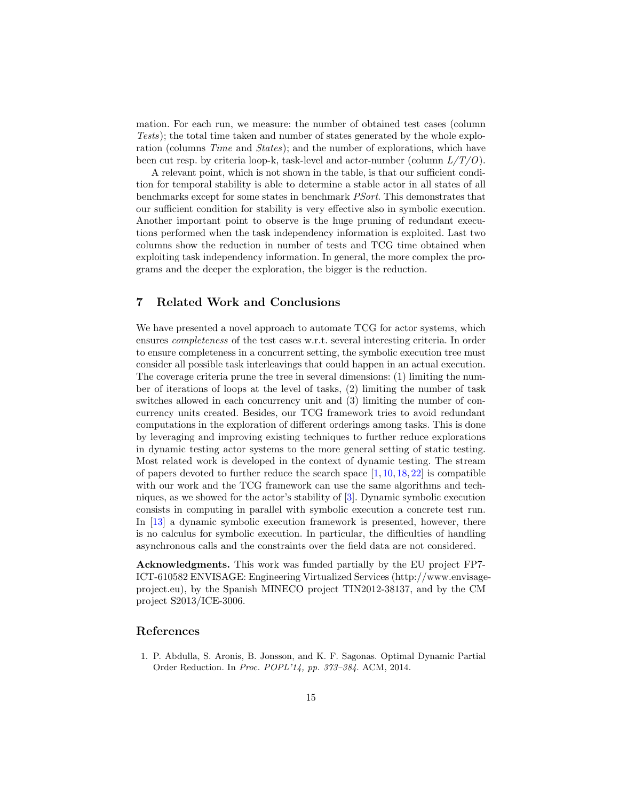mation. For each run, we measure: the number of obtained test cases (column Tests); the total time taken and number of states generated by the whole exploration (columns *Time* and *States*); and the number of explorations, which have been cut resp. by criteria loop-k, task-level and actor-number (column  $L/T/O$ ).

A relevant point, which is not shown in the table, is that our sufficient condition for temporal stability is able to determine a stable actor in all states of all benchmarks except for some states in benchmark PSort. This demonstrates that our sufficient condition for stability is very effective also in symbolic execution. Another important point to observe is the huge pruning of redundant executions performed when the task independency information is exploited. Last two columns show the reduction in number of tests and TCG time obtained when exploiting task independency information. In general, the more complex the programs and the deeper the exploration, the bigger is the reduction.

### 7 Related Work and Conclusions

We have presented a novel approach to automate TCG for actor systems, which ensures completeness of the test cases w.r.t. several interesting criteria. In order to ensure completeness in a concurrent setting, the symbolic execution tree must consider all possible task interleavings that could happen in an actual execution. The coverage criteria prune the tree in several dimensions: (1) limiting the number of iterations of loops at the level of tasks, (2) limiting the number of task switches allowed in each concurrency unit and (3) limiting the number of concurrency units created. Besides, our TCG framework tries to avoid redundant computations in the exploration of different orderings among tasks. This is done by leveraging and improving existing techniques to further reduce explorations in dynamic testing actor systems to the more general setting of static testing. Most related work is developed in the context of dynamic testing. The stream of papers devoted to further reduce the search space  $[1, 10, 18, 22]$  $[1, 10, 18, 22]$  $[1, 10, 18, 22]$  $[1, 10, 18, 22]$  $[1, 10, 18, 22]$  $[1, 10, 18, 22]$  $[1, 10, 18, 22]$  is compatible with our work and the TCG framework can use the same algorithms and techniques, as we showed for the actor's stability of [\[3\]](#page-15-8). Dynamic symbolic execution consists in computing in parallel with symbolic execution a concrete test run. In [\[13\]](#page-15-20) a dynamic symbolic execution framework is presented, however, there is no calculus for symbolic execution. In particular, the difficulties of handling asynchronous calls and the constraints over the field data are not considered.

Acknowledgments. This work was funded partially by the EU project FP7- ICT-610582 ENVISAGE: Engineering Virtualized Services (http://www.envisageproject.eu), by the Spanish MINECO project TIN2012-38137, and by the CM project S2013/ICE-3006.

## References

<span id="page-14-0"></span>1. P. Abdulla, S. Aronis, B. Jonsson, and K. F. Sagonas. Optimal Dynamic Partial Order Reduction. In Proc. POPL'14, pp. 373–384. ACM, 2014.